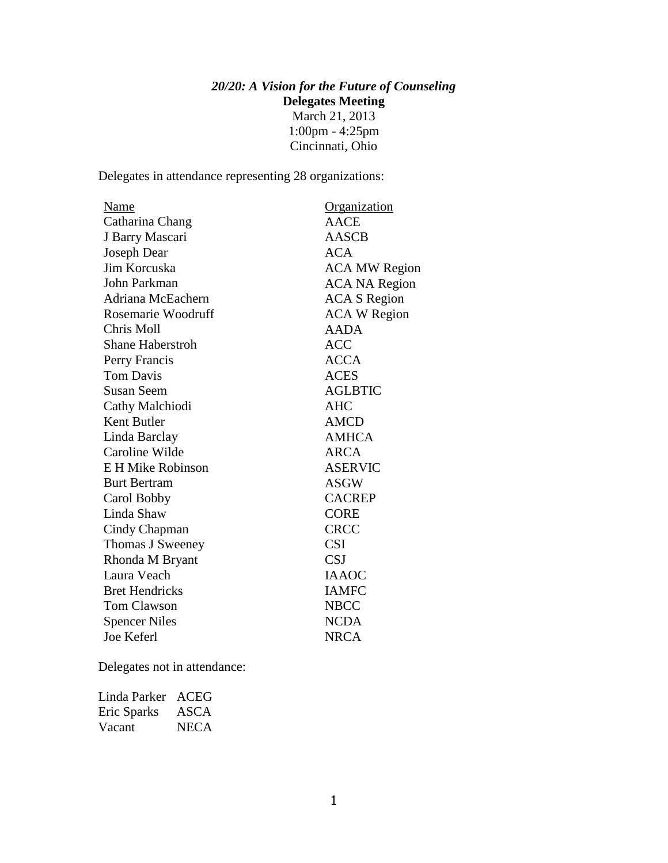## *20/20: A Vision for the Future of Counseling* **Delegates Meeting** March 21, 2013 1:00pm - 4:25pm Cincinnati, Ohio

Delegates in attendance representing 28 organizations:

| <u>Name</u>             | <u>Organization</u>  |
|-------------------------|----------------------|
| Catharina Chang         | <b>AACE</b>          |
| J Barry Mascari         | <b>AASCB</b>         |
| Joseph Dear             | <b>ACA</b>           |
| Jim Korcuska            | <b>ACA MW Region</b> |
| John Parkman            | <b>ACA NA Region</b> |
| Adriana McEachern       | <b>ACA S Region</b>  |
| Rosemarie Woodruff      | <b>ACA W Region</b>  |
| Chris Moll              | AADA                 |
| <b>Shane Haberstroh</b> | <b>ACC</b>           |
| Perry Francis           | <b>ACCA</b>          |
| <b>Tom Davis</b>        | <b>ACES</b>          |
| <b>Susan Seem</b>       | <b>AGLBTIC</b>       |
| Cathy Malchiodi         | <b>AHC</b>           |
| Kent Butler             | AMCD                 |
| Linda Barclay           | <b>AMHCA</b>         |
| Caroline Wilde          | <b>ARCA</b>          |
| E H Mike Robinson       | <b>ASERVIC</b>       |
| <b>Burt Bertram</b>     | <b>ASGW</b>          |
| Carol Bobby             | <b>CACREP</b>        |
| Linda Shaw              | <b>CORE</b>          |
| Cindy Chapman           | <b>CRCC</b>          |
| Thomas J Sweeney        | <b>CSI</b>           |
| Rhonda M Bryant         | <b>CSJ</b>           |
| Laura Veach             | <b>IAAOC</b>         |
| <b>Bret Hendricks</b>   | <b>IAMFC</b>         |
| <b>Tom Clawson</b>      | <b>NBCC</b>          |
| <b>Spencer Niles</b>    | <b>NCDA</b>          |
| Joe Keferl              | <b>NRCA</b>          |

Delegates not in attendance:

| Linda Parker ACEG |             |
|-------------------|-------------|
| Eric Sparks       | ASCA        |
| Vacant            | <b>NECA</b> |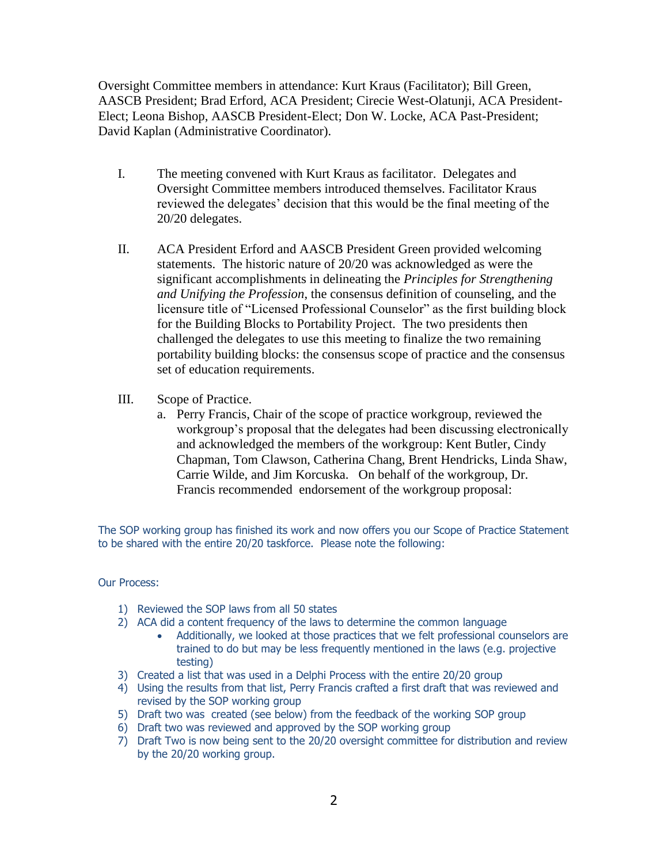Oversight Committee members in attendance: Kurt Kraus (Facilitator); Bill Green, AASCB President; Brad Erford, ACA President; Cirecie West-Olatunji, ACA President-Elect; Leona Bishop, AASCB President-Elect; Don W. Locke, ACA Past-President; David Kaplan (Administrative Coordinator).

- I. The meeting convened with Kurt Kraus as facilitator. Delegates and Oversight Committee members introduced themselves. Facilitator Kraus reviewed the delegates' decision that this would be the final meeting of the 20/20 delegates.
- II. ACA President Erford and AASCB President Green provided welcoming statements. The historic nature of 20/20 was acknowledged as were the significant accomplishments in delineating the *Principles for Strengthening and Unifying the Profession*, the consensus definition of counseling, and the licensure title of "Licensed Professional Counselor" as the first building block for the Building Blocks to Portability Project. The two presidents then challenged the delegates to use this meeting to finalize the two remaining portability building blocks: the consensus scope of practice and the consensus set of education requirements.
- III. Scope of Practice.
	- a. Perry Francis, Chair of the scope of practice workgroup, reviewed the workgroup's proposal that the delegates had been discussing electronically and acknowledged the members of the workgroup: Kent Butler, Cindy Chapman, Tom Clawson, Catherina Chang, Brent Hendricks, Linda Shaw, Carrie Wilde, and Jim Korcuska. On behalf of the workgroup, Dr. Francis recommended endorsement of the workgroup proposal:

The SOP working group has finished its work and now offers you our Scope of Practice Statement to be shared with the entire 20/20 taskforce. Please note the following:

#### Our Process:

- 1) Reviewed the SOP laws from all 50 states
- 2) ACA did a content frequency of the laws to determine the common language
	- Additionally, we looked at those practices that we felt professional counselors are trained to do but may be less frequently mentioned in the laws (e.g. projective testing)
- 3) Created a list that was used in a Delphi Process with the entire 20/20 group
- 4) Using the results from that list, Perry Francis crafted a first draft that was reviewed and revised by the SOP working group
- 5) Draft two was created (see below) from the feedback of the working SOP group
- 6) Draft two was reviewed and approved by the SOP working group
- 7) Draft Two is now being sent to the 20/20 oversight committee for distribution and review by the 20/20 working group.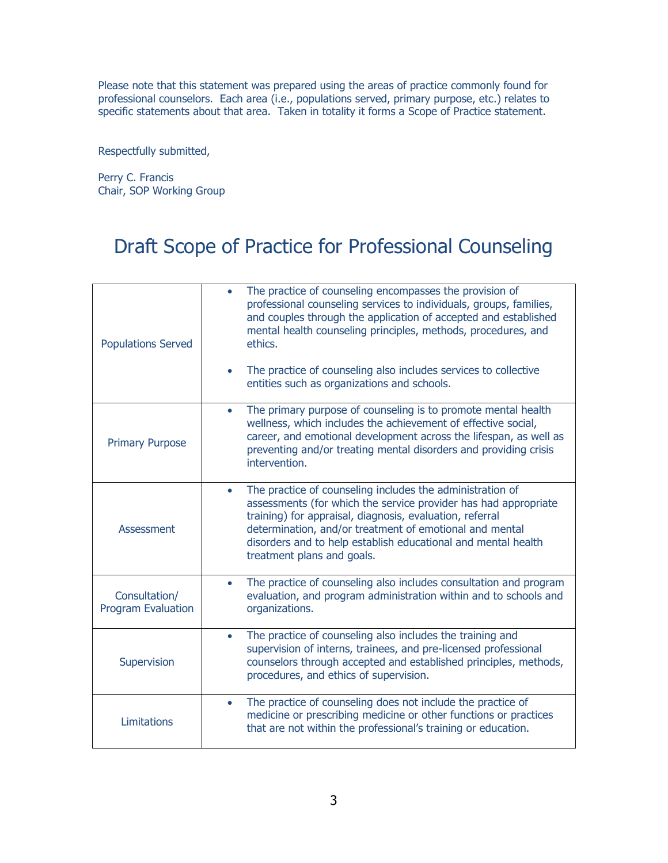Please note that this statement was prepared using the areas of practice commonly found for professional counselors. Each area (i.e., populations served, primary purpose, etc.) relates to specific statements about that area. Taken in totality it forms a Scope of Practice statement.

Respectfully submitted,

Perry C. Francis Chair, SOP Working Group

# Draft Scope of Practice for Professional Counseling

| <b>Populations Served</b>                  | The practice of counseling encompasses the provision of<br>professional counseling services to individuals, groups, families,<br>and couples through the application of accepted and established<br>mental health counseling principles, methods, procedures, and<br>ethics.<br>The practice of counseling also includes services to collective<br>entities such as organizations and schools. |
|--------------------------------------------|------------------------------------------------------------------------------------------------------------------------------------------------------------------------------------------------------------------------------------------------------------------------------------------------------------------------------------------------------------------------------------------------|
| <b>Primary Purpose</b>                     | The primary purpose of counseling is to promote mental health<br>$\bullet$<br>wellness, which includes the achievement of effective social,<br>career, and emotional development across the lifespan, as well as<br>preventing and/or treating mental disorders and providing crisis<br>intervention.                                                                                          |
| <b>Assessment</b>                          | The practice of counseling includes the administration of<br>$\bullet$<br>assessments (for which the service provider has had appropriate<br>training) for appraisal, diagnosis, evaluation, referral<br>determination, and/or treatment of emotional and mental<br>disorders and to help establish educational and mental health<br>treatment plans and goals.                                |
| Consultation/<br><b>Program Evaluation</b> | The practice of counseling also includes consultation and program<br>$\bullet$<br>evaluation, and program administration within and to schools and<br>organizations.                                                                                                                                                                                                                           |
| Supervision                                | The practice of counseling also includes the training and<br>$\bullet$<br>supervision of interns, trainees, and pre-licensed professional<br>counselors through accepted and established principles, methods,<br>procedures, and ethics of supervision.                                                                                                                                        |
| Limitations                                | The practice of counseling does not include the practice of<br>$\bullet$<br>medicine or prescribing medicine or other functions or practices<br>that are not within the professional's training or education.                                                                                                                                                                                  |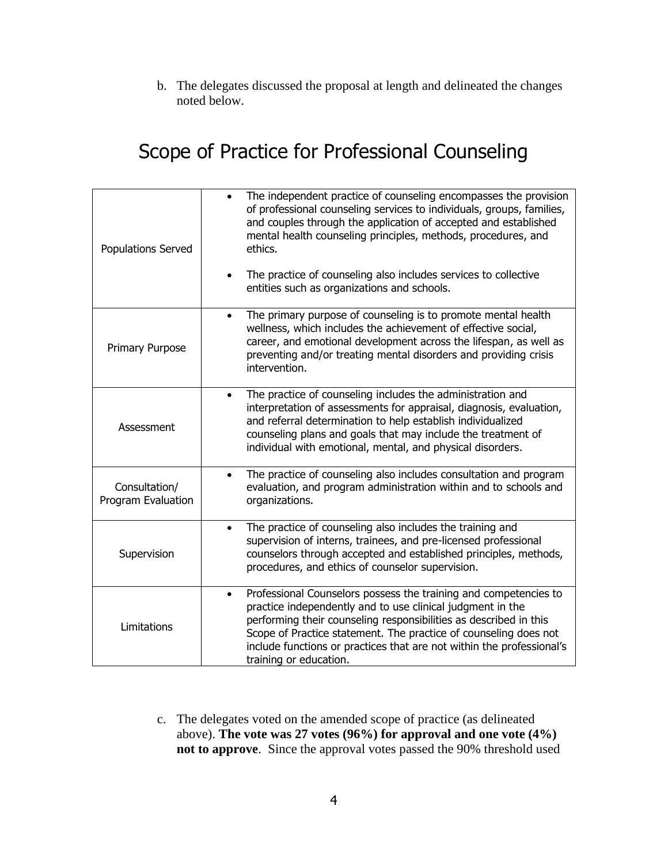b. The delegates discussed the proposal at length and delineated the changes noted below.

# Scope of Practice for Professional Counseling

| Populations Served                  | The independent practice of counseling encompasses the provision<br>of professional counseling services to individuals, groups, families,<br>and couples through the application of accepted and established<br>mental health counseling principles, methods, procedures, and<br>ethics.<br>The practice of counseling also includes services to collective<br>entities such as organizations and schools. |
|-------------------------------------|------------------------------------------------------------------------------------------------------------------------------------------------------------------------------------------------------------------------------------------------------------------------------------------------------------------------------------------------------------------------------------------------------------|
|                                     | The primary purpose of counseling is to promote mental health<br>$\bullet$                                                                                                                                                                                                                                                                                                                                 |
| Primary Purpose                     | wellness, which includes the achievement of effective social,<br>career, and emotional development across the lifespan, as well as<br>preventing and/or treating mental disorders and providing crisis<br>intervention.                                                                                                                                                                                    |
|                                     | The practice of counseling includes the administration and<br>$\bullet$                                                                                                                                                                                                                                                                                                                                    |
| Assessment                          | interpretation of assessments for appraisal, diagnosis, evaluation,<br>and referral determination to help establish individualized<br>counseling plans and goals that may include the treatment of<br>individual with emotional, mental, and physical disorders.                                                                                                                                           |
|                                     | The practice of counseling also includes consultation and program<br>$\bullet$                                                                                                                                                                                                                                                                                                                             |
| Consultation/<br>Program Evaluation | evaluation, and program administration within and to schools and<br>organizations.                                                                                                                                                                                                                                                                                                                         |
|                                     | The practice of counseling also includes the training and<br>$\bullet$                                                                                                                                                                                                                                                                                                                                     |
| Supervision                         | supervision of interns, trainees, and pre-licensed professional<br>counselors through accepted and established principles, methods,                                                                                                                                                                                                                                                                        |
|                                     | procedures, and ethics of counselor supervision.                                                                                                                                                                                                                                                                                                                                                           |
|                                     | Professional Counselors possess the training and competencies to<br>$\bullet$                                                                                                                                                                                                                                                                                                                              |
| Limitations                         | practice independently and to use clinical judgment in the<br>performing their counseling responsibilities as described in this                                                                                                                                                                                                                                                                            |
|                                     | Scope of Practice statement. The practice of counseling does not                                                                                                                                                                                                                                                                                                                                           |
|                                     | include functions or practices that are not within the professional's<br>training or education.                                                                                                                                                                                                                                                                                                            |
|                                     |                                                                                                                                                                                                                                                                                                                                                                                                            |

c. The delegates voted on the amended scope of practice (as delineated above). **The vote was 27 votes (96%) for approval and one vote (4%) not to approve**. Since the approval votes passed the 90% threshold used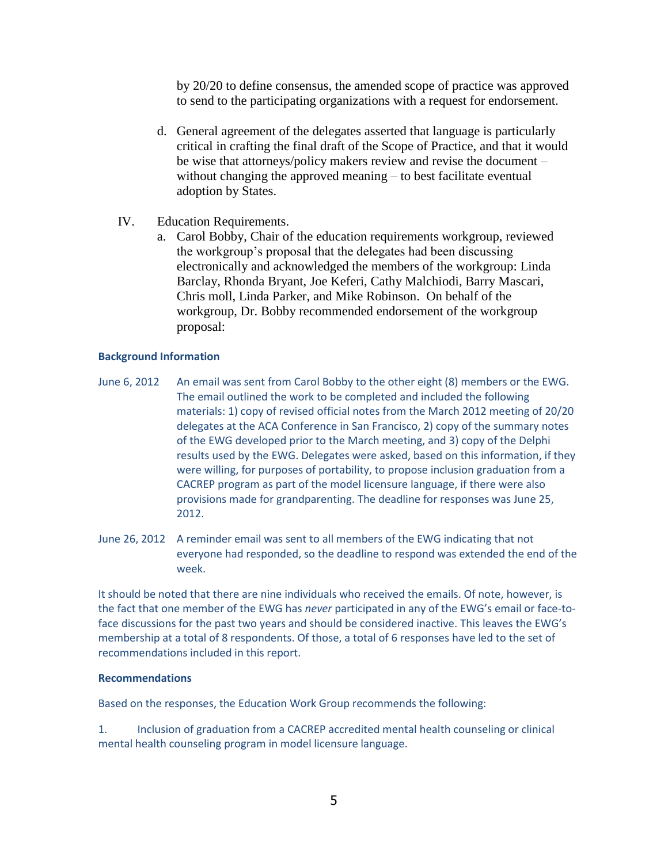by 20/20 to define consensus, the amended scope of practice was approved to send to the participating organizations with a request for endorsement.

- d. General agreement of the delegates asserted that language is particularly critical in crafting the final draft of the Scope of Practice, and that it would be wise that attorneys/policy makers review and revise the document – without changing the approved meaning – to best facilitate eventual adoption by States.
- IV. Education Requirements.
	- a. Carol Bobby, Chair of the education requirements workgroup, reviewed the workgroup's proposal that the delegates had been discussing electronically and acknowledged the members of the workgroup: Linda Barclay, Rhonda Bryant, Joe Keferi, Cathy Malchiodi, Barry Mascari, Chris moll, Linda Parker, and Mike Robinson. On behalf of the workgroup, Dr. Bobby recommended endorsement of the workgroup proposal:

### **Background Information**

- June 6, 2012 An email was sent from Carol Bobby to the other eight (8) members or the EWG. The email outlined the work to be completed and included the following materials: 1) copy of revised official notes from the March 2012 meeting of 20/20 delegates at the ACA Conference in San Francisco, 2) copy of the summary notes of the EWG developed prior to the March meeting, and 3) copy of the Delphi results used by the EWG. Delegates were asked, based on this information, if they were willing, for purposes of portability, to propose inclusion graduation from a CACREP program as part of the model licensure language, if there were also provisions made for grandparenting. The deadline for responses was June 25, 2012.
- June 26, 2012 A reminder email was sent to all members of the EWG indicating that not everyone had responded, so the deadline to respond was extended the end of the week.

It should be noted that there are nine individuals who received the emails. Of note, however, is the fact that one member of the EWG has *never* participated in any of the EWG's email or face-toface discussions for the past two years and should be considered inactive. This leaves the EWG's membership at a total of 8 respondents. Of those, a total of 6 responses have led to the set of recommendations included in this report.

#### **Recommendations**

Based on the responses, the Education Work Group recommends the following:

1. Inclusion of graduation from a CACREP accredited mental health counseling or clinical mental health counseling program in model licensure language.